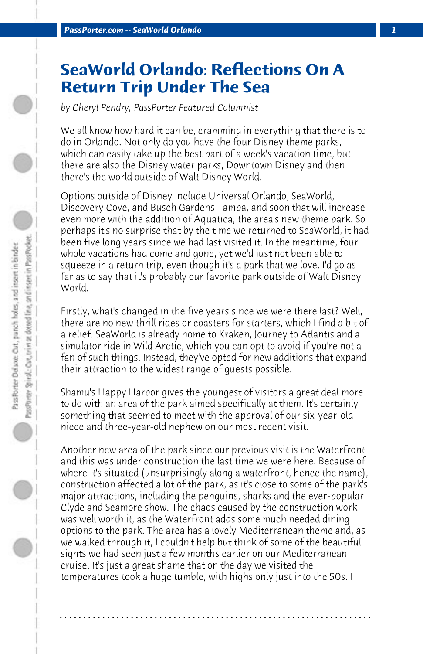## **SeaWorld Orlando: Reflections On A Return Trip Under The Sea**

*by Cheryl Pendry, PassPorter Featured Columnist*

We all know how hard it can be, cramming in everything that there is to do in Orlando. Not only do you have the four Disney theme parks, which can easily take up the best part of a week's vacation time, but there are also the Disney water parks, Downtown Disney and then there's the world outside of Walt Disney World.

Options outside of Disney include Universal Orlando, SeaWorld, Discovery Cove, and Busch Gardens Tampa, and soon that will increase even more with the addition of Aquatica, the area's new theme park. So perhaps it's no surprise that by the time we returned to SeaWorld, it had been five long years since we had last visited it. In the meantime, four whole vacations had come and gone, yet we'd just not been able to squeeze in a return trip, even though it's a park that we love. I'd go as far as to say that it's probably our favorite park outside of Walt Disney World.

Firstly, what's changed in the five years since we were there last? Well, there are no new thrill rides or coasters for starters, which I find a bit of a relief. SeaWorld is already home to Kraken, Journey to Atlantis and a simulator ride in Wild Arctic, which you can opt to avoid if you're not a fan of such things. Instead, they've opted for new additions that expand their attraction to the widest range of guests possible.

Shamu's Happy Harbor gives the youngest of visitors a great deal more to do with an area of the park aimed specifically at them. It's certainly something that seemed to meet with the approval of our six-year-old niece and three-year-old nephew on our most recent visit.

Another new area of the park since our previous visit is the Waterfront and this was under construction the last time we were here. Because of where it's situated (unsurprisingly along a waterfront, hence the name), construction affected a lot of the park, as it's close to some of the park's major attractions, including the penguins, sharks and the ever-popular Clyde and Seamore show. The chaos caused by the construction work was well worth it, as the Waterfront adds some much needed dining options to the park. The area has a lovely Mediterranean theme and, as we walked through it, I couldn't help but think of some of the beautiful sights we had seen just a few months earlier on our Mediterranean cruise. It's just a great shame that on the day we visited the temperatures took a huge tumble, with highs only just into the 50s. I

**. . . . . . . . . . . . . . . . . . . . . . . . . . . . . . . . . . . . . . . . . . . . . . . . . . . . . . . . . . . . . . . . . .**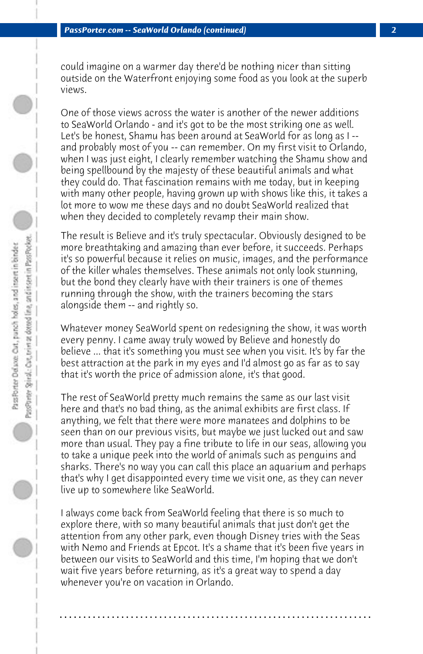could imagine on a warmer day there'd be nothing nicer than sitting outside on the Waterfront enjoying some food as you look at the superb views.

One of those views across the water is another of the newer additions to SeaWorld Orlando - and it's got to be the most striking one as well. Let's be honest, Shamu has been around at SeaWorld for as long as I - and probably most of you -- can remember. On my first visit to Orlando, when I was just eight, I clearly remember watching the Shamu show and being spellbound by the majesty of these beautiful animals and what they could do. That fascination remains with me today, but in keeping with many other people, having grown up with shows like this, it takes a lot more to wow me these days and no doubt SeaWorld realized that when they decided to completely revamp their main show.

The result is Believe and it's truly spectacular. Obviously designed to be more breathtaking and amazing than ever before, it succeeds. Perhaps it's so powerful because it relies on music, images, and the performance of the killer whales themselves. These animals not only look stunning, but the bond they clearly have with their trainers is one of themes running through the show, with the trainers becoming the stars alongside them -- and rightly so.

Whatever money SeaWorld spent on redesigning the show, it was worth every penny. I came away truly wowed by Believe and honestly do believe ... that it's something you must see when you visit. It's by far the best attraction at the park in my eyes and I'd almost go as far as to say that it's worth the price of admission alone, it's that good.

The rest of SeaWorld pretty much remains the same as our last visit here and that's no bad thing, as the animal exhibits are first class. If anything, we felt that there were more manatees and dolphins to be seen than on our previous visits, but maybe we just lucked out and saw more than usual. They pay a fine tribute to life in our seas, allowing you to take a unique peek into the world of animals such as penguins and sharks. There's no way you can call this place an aquarium and perhaps that's why I get disappointed every time we visit one, as they can never live up to somewhere like SeaWorld.

I always come back from SeaWorld feeling that there is so much to explore there, with so many beautiful animals that just don't get the attention from any other park, even though Disney tries with the Seas with Nemo and Friends at Epcot. It's a shame that it's been five years in between our visits to SeaWorld and this time, I'm hoping that we don't wait five years before returning, as it's a great way to spend a day whenever you're on vacation in Orlando.

**. . . . . . . . . . . . . . . . . . . . . . . . . . . . . . . . . . . . . . . . . . . . . . . . . . . . . . . . . . . . . . . . . .**